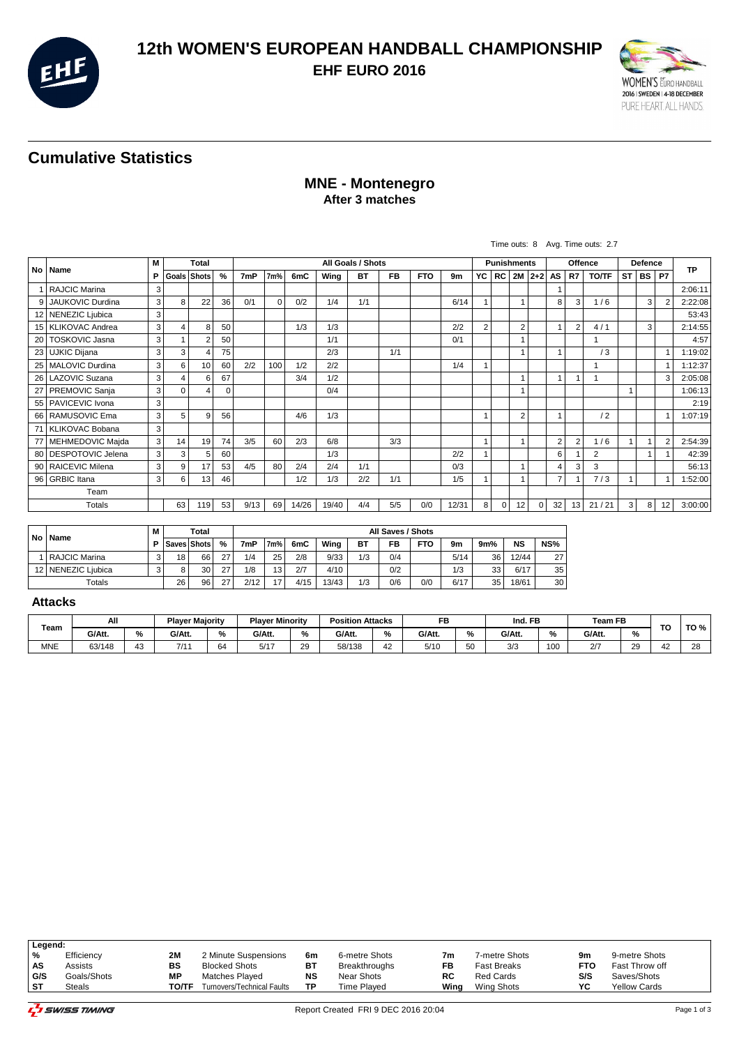

## **12th WOMEN'S EUROPEAN HANDBALL CHAMPIONSHIP EHF EURO 2016**



# **Cumulative Statistics**

#### **MNE - Montenegro After 3 matches**

|                 |                         |   |          |                |               |                   |          |       |       |           |           |            |       |                    |          |                         |          |                |                 | Time outs: 8 Avg. Time outs: 2.7 |           |             |                |         |
|-----------------|-------------------------|---|----------|----------------|---------------|-------------------|----------|-------|-------|-----------|-----------|------------|-------|--------------------|----------|-------------------------|----------|----------------|-----------------|----------------------------------|-----------|-------------|----------------|---------|
|                 |                         |   |          | Total          |               | All Goals / Shots |          |       |       |           |           |            |       | <b>Punishments</b> |          |                         | Offence  |                |                 | Defence                          |           |             | <b>TP</b>      |         |
|                 | No   Name               | P |          | Goals Shots    | $\frac{9}{6}$ | 7mP               | 7m%      | 6mC   | Wing  | <b>BT</b> | <b>FB</b> | <b>FTO</b> | 9m    | YC                 | RC   2M  |                         |          | $ 2+2 $ AS     | R7              | <b>TO/TF</b>                     | <b>ST</b> | BS          | <b>P7</b>      |         |
|                 | <b>RAJCIC Marina</b>    | 3 |          |                |               |                   |          |       |       |           |           |            |       |                    |          |                         |          |                |                 |                                  |           |             |                | 2:06:11 |
| 9               | <b>JAUKOVIC Durdina</b> | 3 | 8        | 22             | 36            | 0/1               | $\Omega$ | 0/2   | 1/4   | 1/1       |           |            | 6/14  |                    |          |                         |          | 8              | 3               | 1/6                              |           | 3           | $\overline{2}$ | 2:22:08 |
|                 | 12 NENEZIC Ljubica      | 3 |          |                |               |                   |          |       |       |           |           |            |       |                    |          |                         |          |                |                 |                                  |           |             |                | 53:43   |
|                 | 15   KLIKOVAC Andrea    | 3 | 4        | 8              | 50            |                   |          | 1/3   | 1/3   |           |           |            | 2/2   | $\overline{2}$     |          | $\overline{2}$          |          | $\overline{1}$ | $\overline{2}$  | 4/1                              |           | 3           |                | 2:14:55 |
| 20              | <b>TOSKOVIC Jasna</b>   | 3 |          | $\overline{2}$ | 50            |                   |          |       | 1/1   |           |           |            | 0/1   |                    |          |                         |          |                |                 |                                  |           |             |                | 4:57    |
| 23              | UJKIC Dijana            | 3 | 3        | $\overline{4}$ | 75            |                   |          |       | 2/3   |           | 1/1       |            |       |                    |          |                         |          |                |                 | /3                               |           |             |                | 1:19:02 |
|                 | 25   MALOVIC Durdina    | 3 | 6        | 10             | 60            | 2/2               | 100      | 1/2   | 2/2   |           |           |            | 1/4   |                    |          |                         |          |                |                 |                                  |           |             |                | 1:12:37 |
| 26 <sup>1</sup> | LAZOVIC Suzana          | 3 | 4        | 6              | 67            |                   |          | 3/4   | 1/2   |           |           |            |       |                    |          | $\overline{\mathbf{1}}$ |          | $\mathbf{1}$   | $\overline{1}$  |                                  |           |             | 3              | 2:05:08 |
| 27              | <b>PREMOVIC Sanja</b>   | 3 | $\Omega$ | $\overline{4}$ | 0             |                   |          |       | 0/4   |           |           |            |       |                    |          | $\overline{\mathbf{1}}$ |          |                |                 |                                  | 1         |             |                | 1:06:13 |
|                 | 55   PAVICEVIC Ivona    | 3 |          |                |               |                   |          |       |       |           |           |            |       |                    |          |                         |          |                |                 |                                  |           |             |                | 2:19    |
|                 | 66   RAMUSOVIC Ema      | 3 | 5        | 9              | 56            |                   |          | 4/6   | 1/3   |           |           |            |       | -1                 |          | $\overline{2}$          |          | 1              |                 | /2                               |           |             | 1              | 1:07:19 |
|                 | 71 KLIKOVAC Bobana      | 3 |          |                |               |                   |          |       |       |           |           |            |       |                    |          |                         |          |                |                 |                                  |           |             |                |         |
|                 | 77   MEHMEDOVIC Majda   | 3 | 14       | 19             | 74            | 3/5               | 60       | 2/3   | 6/8   |           | 3/3       |            |       |                    |          |                         |          | $\overline{2}$ | 2               | 1/6                              |           |             | $\overline{2}$ | 2:54:39 |
| 80 l            | DESPOTOVIC Jelena       | 3 | 3        | 5              | 60            |                   |          |       | 1/3   |           |           |            | 2/2   | $\overline{ }$     |          |                         |          | 6              |                 | 2                                |           | $\mathbf 1$ |                | 42:39   |
|                 | 90   RAICEVIC Milena    | 3 | 9        | 17             | 53            | 4/5               | 80       | 2/4   | 2/4   | 1/1       |           |            | 0/3   |                    |          |                         |          | 4              | 3               | 3                                |           |             |                | 56:13   |
|                 | 96 GRBIC Itana          | 3 | 6        | 13             | 46            |                   |          | 1/2   | 1/3   | 2/2       | 1/1       |            | 1/5   |                    |          |                         |          | $\overline{7}$ |                 | 7/3                              | 1         |             |                | 1:52:00 |
|                 | Team                    |   |          |                |               |                   |          |       |       |           |           |            |       |                    |          |                         |          |                |                 |                                  |           |             |                |         |
|                 | Totals                  |   | 63       | 119            | 53            | 9/13              | 69       | 14/26 | 19/40 | 4/4       | 5/5       | 0/0        | 12/31 | 8                  | $\Omega$ | 12                      | $\Omega$ | 32             | 13 <sup>1</sup> | 21/21                            | 3         | 8           | 12             | 3:00:00 |

| <b>No</b> | М<br>Name<br>D.      |   |             | Total |    | All Saves / Shots |     |      |       |     |     |            |      |     |           |     |
|-----------|----------------------|---|-------------|-------|----|-------------------|-----|------|-------|-----|-----|------------|------|-----|-----------|-----|
|           |                      |   | Saves Shots |       | %  | 7mP               | 7m% | 6mC  | Wing  | BT  | FB  | <b>FTO</b> | 9m   | 9m% | <b>NS</b> | NS% |
|           | <b>RAJCIC Marina</b> | c | 18          | 66    | 27 | 1/4               | 25  | 2/8  | 9/33  | 1/3 | 0/4 |            | 5/14 | 36  | 12/44     | 27  |
|           | 12 NENEZIC Liubica   | ົ |             | 30    | 27 | 1/8               | 13  | 2/7  | 4/10  |     | 0/2 |            | 1/3  | 33  | 6/17      | 35  |
| Totals    |                      |   | 26          | 96    | 27 | 2/12              | 17  | 4/15 | 13/43 | 1/3 | 0/6 | 0/0        | 6/17 | 35  | 18/61     | 30  |

#### **Attacks**

|            | All<br><b>Player Majority</b> |                      | <b>Plaver Minority</b><br><b>Position Attacks</b> |              |           |          | FB     |           | Ind. FB |          | <b>Team FB</b>       |     | TO             | TO %     |                        |             |
|------------|-------------------------------|----------------------|---------------------------------------------------|--------------|-----------|----------|--------|-----------|---------|----------|----------------------|-----|----------------|----------|------------------------|-------------|
| Team       | G/Att.                        |                      | G/Att.                                            | %            | G/Att.    | %        | G/Att. |           | G/Att.  | ″٥       | G/Att.               |     | G/Att.         | %        |                        |             |
| <b>MNE</b> | 63/148                        | $\overline{a}$<br>43 | 7/1                                               | $\sim$<br>64 | 5/17<br>◡ | 20<br>∠ວ | 58/138 | $\Lambda$ | 5/10    | 50<br>vu | $\sim$ $\mu$<br>ن ان | 100 | 25<br><u>_</u> | 20<br>∠ສ | $\sim$<br>$\mathbf{u}$ | $\sim$<br>∼ |

|     | Legend:     |       |                            |    |                      |      |                    |      |                     |  |  |  |  |
|-----|-------------|-------|----------------------------|----|----------------------|------|--------------------|------|---------------------|--|--|--|--|
| %   | Efficiency  | 2М    | 2 Minute Suspensions       | 6m | 6-metre Shots        | 7m   | 7-metre Shots      | 9m   | 9-metre Shots       |  |  |  |  |
| AS  | Assists     | BS    | <b>Blocked Shots</b>       | вı | <b>Breakthroughs</b> | FB   | <b>Fast Breaks</b> | FTO. | Fast Throw off      |  |  |  |  |
| G/S | Goals/Shots | МP    | Matches Played             | NS | Near Shots           | RC   | <b>Red Cards</b>   | S/S  | Saves/Shots         |  |  |  |  |
| -ST | Steals      | ТО/ТЕ | Turnovers/Technical Faults | ТD | Time Plaved          | Wing | Wing Shots         | YC   | <b>Yellow Cards</b> |  |  |  |  |
|     |             |       |                            |    |                      |      |                    |      |                     |  |  |  |  |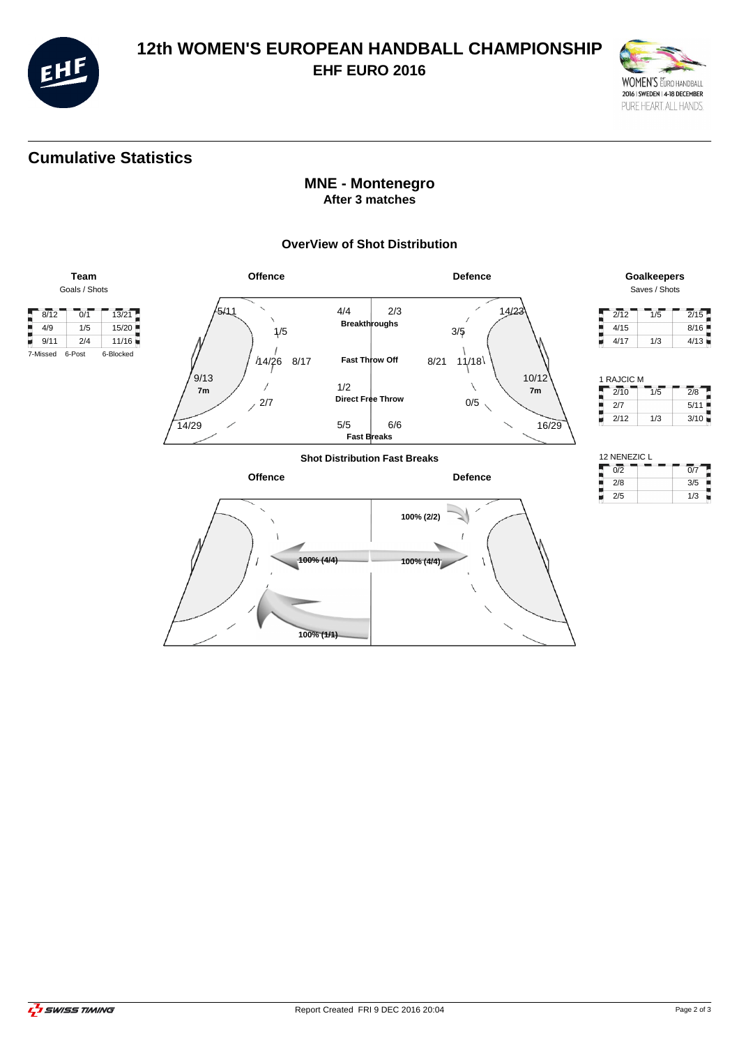

## **12th WOMEN'S EUROPEAN HANDBALL CHAMPIONSHIP EHF EURO 2016**



# **Cumulative Statistics**

### **MNE - Montenegro After 3 matches**

#### **OverView of Shot Distribution**